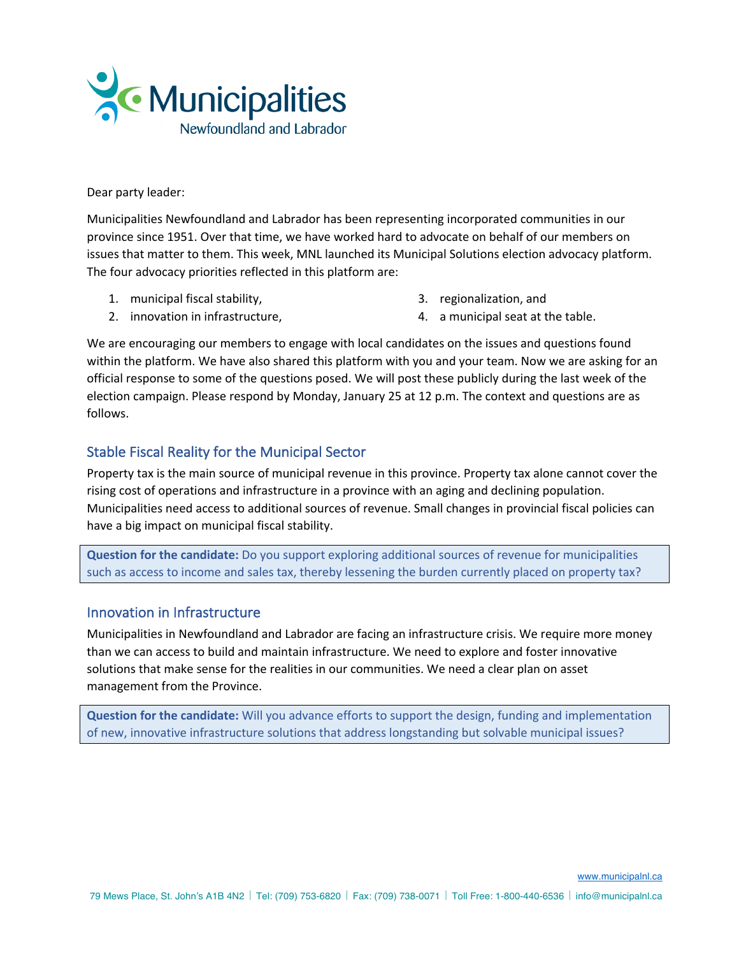

Dear party leader:

Municipalities Newfoundland and Labrador has been representing incorporated communities in our province since 1951. Over that time, we have worked hard to advocate on behalf of our members on issues that matter to them. This week, MNL launched its Municipal Solutions election advocacy platform. The four advocacy priorities reflected in this platform are:

1. municipal fiscal stability,

3. regionalization, and

2. innovation in infrastructure,

4. a municipal seat at the table.

We are encouraging our members to engage with local candidates on the issues and questions found within the platform. We have also shared this platform with you and your team. Now we are asking for an official response to some of the questions posed. We will post these publicly during the last week of the election campaign. Please respond by Monday, January 25 at 12 p.m. The context and questions are as follows.

## Stable Fiscal Reality for the Municipal Sector

Property tax is the main source of municipal revenue in this province. Property tax alone cannot cover the rising cost of operations and infrastructure in a province with an aging and declining population. Municipalities need access to additional sources of revenue. Small changes in provincial fiscal policies can have a big impact on municipal fiscal stability.

**Question for the candidate:** Do you support exploring additional sources of revenue for municipalities such as access to income and sales tax, thereby lessening the burden currently placed on property tax?

## Innovation in Infrastructure

Municipalities in Newfoundland and Labrador are facing an infrastructure crisis. We require more money than we can access to build and maintain infrastructure. We need to explore and foster innovative solutions that make sense for the realities in our communities. We need a clear plan on asset management from the Province.

**Question for the candidate:** Will you advance efforts to support the design, funding and implementation of new, innovative infrastructure solutions that address longstanding but solvable municipal issues?